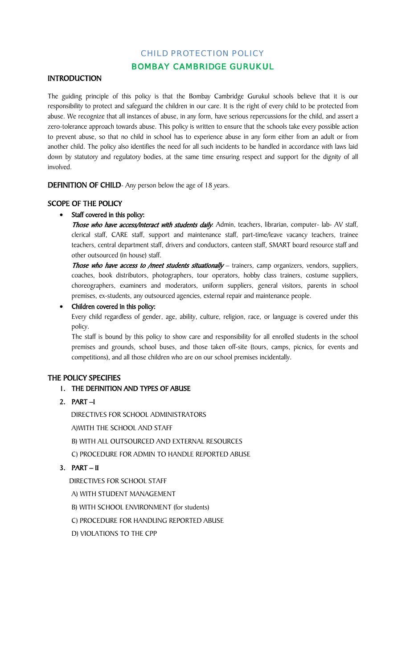# CHILD PROTECTION POLICY

# BOMBAY CAMBRIDGE GURUKUL

#### **INTRODUCTION**

The guiding principle of this policy is that the Bombay Cambridge Gurukul schools believe that it is our responsibility to protect and safeguard the children in our care. It is the right of every child to be protected from abuse. We recognize that all instances of abuse, in any form, have serious repercussions for the child, and assert a zero-tolerance approach towards abuse. This policy is written to ensure that the schools take every possible action to prevent abuse, so that no child in school has to experience abuse in any form either from an adult or from another child. The policy also identifies the need for all such incidents to be handled in accordance with laws laid down by statutory and regulatory bodies, at the same time ensuring respect and support for the dignity of all involved.

DEFINITION OF CHILD- Any person below the age of 18 years.

#### SCOPE OF THE POLICY

#### • Staff covered in this policy:

Those who have access/interact with students daily: Admin, teachers, librarian, computer- lab- AV staff, clerical staff, CARE staff, support and maintenance staff, part-time/leave vacancy teachers, trainee teachers, central department staff, drivers and conductors, canteen staff, SMART board resource staff and other outsourced (in house) staff.

Those who have access to /meet students situationally - trainers, camp organizers, vendors, suppliers, coaches, book distributors, photographers, tour operators, hobby class trainers, costume suppliers, choreographers, examiners and moderators, uniform suppliers, general visitors, parents in school premises, ex-students, any outsourced agencies, external repair and maintenance people.

#### • Children covered in this policy:

Every child regardless of gender, age, ability, culture, religion, race, or language is covered under this policy.

The staff is bound by this policy to show care and responsibility for all enrolled students in the school premises and grounds, school buses, and those taken off-site (tours, camps, picnics, for events and competitions), and all those children who are on our school premises incidentally.

### THE POLICY SPECIFIES

### 1. THE DEFINITION AND TYPES OF ABUSE

### 2. PART –I

DIRECTIVES FOR SCHOOL ADMINISTRATORS

A)WITH THE SCHOOL AND STAFF

B) WITH ALL OUTSOURCED AND EXTERNAL RESOURCES

C) PROCEDURE FOR ADMIN TO HANDLE REPORTED ABUSE

# 3.  $PART - II$

DIRECTIVES FOR SCHOOL STAFF

A) WITH STUDENT MANAGEMENT

B) WITH SCHOOL ENVIRONMENT (for students)

C) PROCEDURE FOR HANDLING REPORTED ABUSE

D) VIOLATIONS TO THE CPP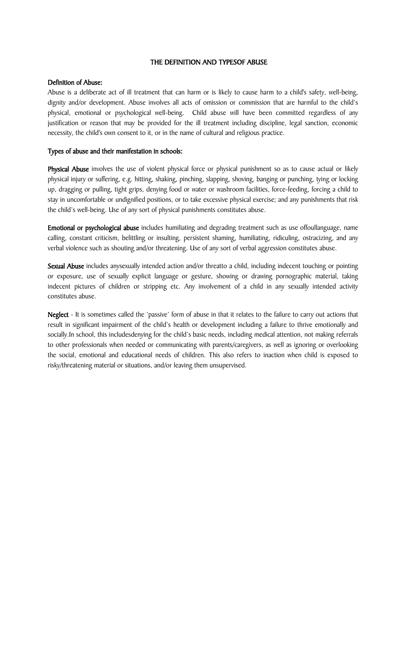#### THE DEFINITION AND TYPESOF ABUSE

#### Definition of Abuse:

Abuse is a deliberate act of ill treatment that can harm or is likely to cause harm to a child's safety, well-being, dignity and/or development. Abuse involves all acts of omission or commission that are harmful to the child's physical, emotional or psychological well-being. Child abuse will have been committed regardless of any justification or reason that may be provided for the ill treatment including discipline, legal sanction, economic necessity, the child's own consent to it, or in the name of cultural and religious practice.

### Types of abuse and their manifestation in schools:

Physical Abuse involves the use of violent physical force or physical punishment so as to cause actual or likely physical injury or suffering, e.g. hitting, shaking, pinching, slapping, shoving, banging or punching, tying or locking up, dragging or pulling, tight grips, denying food or water or washroom facilities, force-feeding, forcing a child to stay in uncomfortable or undignified positions, or to take excessive physical exercise; and any punishments that risk the child's well-being. Use of any sort of physical punishments constitutes abuse.

Emotional or psychological abuse includes humiliating and degrading treatment such as use offoullanguage, name calling, constant criticism, belittling or insulting, persistent shaming, humiliating, ridiculing, ostracizing, and any verbal violence such as shouting and/or threatening. Use of any sort of verbal aggression constitutes abuse.

Sexual Abuse includes anysexually intended action and/or threatto a child, including indecent touching or pointing or exposure, use of sexually explicit language or gesture, showing or drawing pornographic material, taking indecent pictures of children or stripping etc. Any involvement of a child in any sexually intended activity constitutes abuse.

Neglect - It is sometimes called the 'passive' form of abuse in that it relates to the failure to carry out actions that result in significant impairment of the child's health or development including a failure to thrive emotionally and socially.In school, this includesdenying for the child's basic needs, including medical attention, not making referrals to other professionals when needed or communicating with parents/caregivers, as well as ignoring or overlooking the social, emotional and educational needs of children. This also refers to inaction when child is exposed to risky/threatening material or situations, and/or leaving them unsupervised.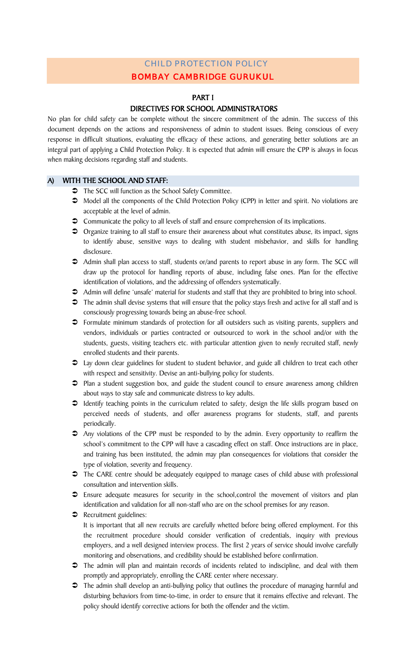# BOMBAY CAMBRIDGE GURUKUL CHILD PROTECTION POLICY

#### PART I

### DIRECTIVES FOR SCHOOL ADMINISTRATORS

No plan for child safety can be complete without the sincere commitment of the admin. The success of this document depends on the actions and responsiveness of admin to student issues. Being conscious of every response in difficult situations, evaluating the efficacy of these actions, and generating better solutions are an integral part of applying a Child Protection Policy. It is expected that admin will ensure the CPP is always in focus when making decisions regarding staff and students.

#### A) WITH THE SCHOOL AND STAFF:

- $\supset$  The SCC will function as the School Safety Committee.
- Model all the components of the Child Protection Policy (CPP) in letter and spirit. No violations are acceptable at the level of admin.
- Communicate the policy to all levels of staff and ensure comprehension of its implications.
- Organize training to all staff to ensure their awareness about what constitutes abuse, its impact, signs to identify abuse, sensitive ways to dealing with student misbehavior, and skills for handling disclosure.
- Admin shall plan access to staff, students or/and parents to report abuse in any form. The SCC will draw up the protocol for handling reports of abuse, including false ones. Plan for the effective identification of violations, and the addressing of offenders systematically.
- Admin will define 'unsafe' material for students and staff that they are prohibited to bring into school.
- $\supset$  The admin shall devise systems that will ensure that the policy stays fresh and active for all staff and is consciously progressing towards being an abuse-free school.
- Formulate minimum standards of protection for all outsiders such as visiting parents, suppliers and vendors, individuals or parties contracted or outsourced to work in the school and/or with the students, guests, visiting teachers etc. with particular attention given to newly recruited staff, newly enrolled students and their parents.
- Lay down clear guidelines for student to student behavior, and guide all children to treat each other with respect and sensitivity. Devise an anti-bullying policy for students.
- Plan a student suggestion box, and guide the student council to ensure awareness among children about ways to stay safe and communicate distress to key adults.
- $\supset$  Identify teaching points in the curriculum related to safety, design the life skills program based on perceived needs of students, and offer awareness programs for students, staff, and parents periodically.
- Any violations of the CPP must be responded to by the admin. Every opportunity to reaffirm the school's commitment to the CPP will have a cascading effect on staff. Once instructions are in place, and training has been instituted, the admin may plan consequences for violations that consider the type of violation, severity and frequency.
- $\supset$  The CARE centre should be adequately equipped to manage cases of child abuse with professional consultation and intervention skills.
- Ensure adequate measures for security in the school,control the movement of visitors and plan identification and validation for all non-staff who are on the school premises for any reason.
- **C** Recruitment guidelines: It is important that all new recruits are carefully whetted before being offered employment. For this the recruitment procedure should consider verification of credentials, inquiry with previous employers, and a well designed interview process. The first 2 years of service should involve carefully monitoring and observations, and credibility should be established before confirmation.
- The admin will plan and maintain records of incidents related to indiscipline, and deal with them promptly and appropriately, enrolling the CARE center where necessary.
- $\supset$  The admin shall develop an anti-bullying policy that outlines the procedure of managing harmful and disturbing behaviors from time-to-time, in order to ensure that it remains effective and relevant. The policy should identify corrective actions for both the offender and the victim.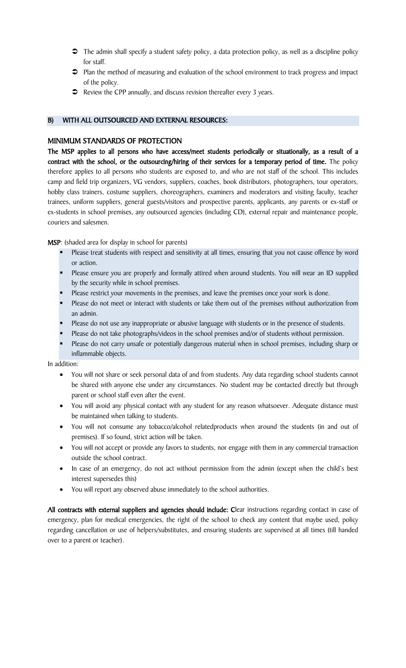- $\triangleright$  The admin shall specify a student safety policy, a data protection policy, as well as a discipline policy for staff.
- Plan the method of measuring and evaluation of the school environment to track progress and impact of the policy.
- Review the CPP annually, and discuss revision thereafter every 3 years.

### B) WITH ALL OUTSOURCED AND EXTERNAL RESOURCES:

### MINIMUM STANDARDS OF PROTECTION

The MSP applies to all persons who have access/meet students periodically or situationally, as a result of a contract with the school, or the outsourcing/hiring of their services for a temporary period of time. The policy therefore applies to all persons who students are exposed to, and who are not staff of the school. This includes camp and field trip organizers, VG vendors, suppliers, coaches, book distributors, photographers, tour operators, hobby class trainers, costume suppliers, choreographers, examiners and moderators and visiting faculty, teacher trainees, uniform suppliers, general guests/visitors and prospective parents, applicants, any parents or ex-staff or ex-students in school premises, any outsourced agencies (including CD), external repair and maintenance people, couriers and salesmen.

MSP: (shaded area for display in school for parents)

- **Please treat students with respect and sensitivity at all times, ensuring that you not cause offence by word** or action.
- **Please ensure you are properly and formally attired when around students. You will wear an ID supplied** by the security while in school premises.
- **Please restrict your movements in the premises, and leave the premises once your work is done.**
- **Please do not meet or interact with students or take them out of the premises without authorization from** an admin.
- **Please do not use any inappropriate or abusive language with students or in the presence of students.**
- Please do not take photographs/videos in the school premises and/or of students without permission.
- Please do not carry unsafe or potentially dangerous material when in school premises, including sharp or inflammable objects.

In addition:

- You will not share or seek personal data of and from students. Any data regarding school students cannot be shared with anyone else under any circumstances. No student may be contacted directly but through parent or school staff even after the event.
- You will avoid any physical contact with any student for any reason whatsoever. Adequate distance must be maintained when talking to students.
- You will not consume any tobacco/alcohol relatedproducts when around the students (in and out of premises). If so found, strict action will be taken.
- You will not accept or provide any favors to students, nor engage with them in any commercial transaction outside the school contract.
- In case of an emergency, do not act without permission from the admin (except when the child's best interest supersedes this)
- You will report any observed abuse immediately to the school authorities.

All contracts with external suppliers and agencies should include: Clear instructions regarding contact in case of emergency, plan for medical emergencies, the right of the school to check any content that maybe used, policy regarding cancellation or use of helpers/substitutes, and ensuring students are supervised at all times (till handed over to a parent or teacher).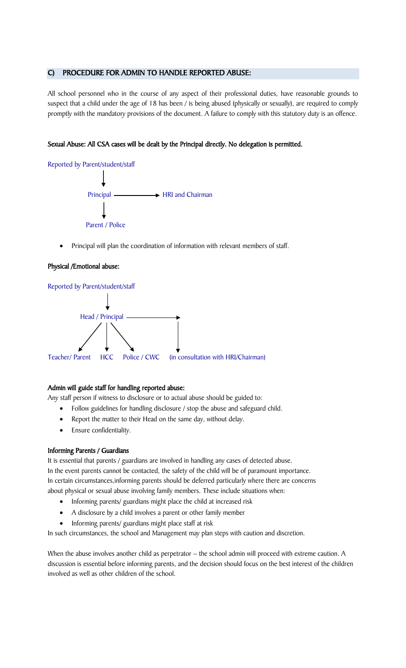### C) PROCEDURE FOR ADMIN TO HANDLE REPORTED ABUSE:

All school personnel who in the course of any aspect of their professional duties, have reasonable grounds to suspect that a child under the age of 18 has been / is being abused (physically or sexually), are required to comply promptly with the mandatory provisions of the document. A failure to comply with this statutory duty is an offence.

#### Sexual Abuse: All CSA cases will be dealt by the Principal directly. No delegation is permitted.

Reported by Parent/student/staff Principal — **HRI** and Chairman Parent / Police

Principal will plan the coordination of information with relevant members of staff.

#### Physical /Emotional abuse:



#### Admin will guide staff for handling reported abuse:

Any staff person if witness to disclosure or to actual abuse should be guided to:

- Follow guidelines for handling disclosure / stop the abuse and safeguard child.
- Report the matter to their Head on the same day, without delay.
- Ensure confidentiality.

### Informing Parents / Guardians

It is essential that parents / guardians are involved in handling any cases of detected abuse. In the event parents cannot be contacted, the safety of the child will be of paramount importance. In certain circumstances,informing parents should be deferred particularly where there are concerns about physical or sexual abuse involving family members. These include situations when:

- Informing parents/ guardians might place the child at increased risk
- A disclosure by a child involves a parent or other family member
- Informing parents/ guardians might place staff at risk

In such circumstances, the school and Management may plan steps with caution and discretion.

When the abuse involves another child as perpetrator - the school admin will proceed with extreme caution. A discussion is essential before informing parents, and the decision should focus on the best interest of the children involved as well as other children of the school.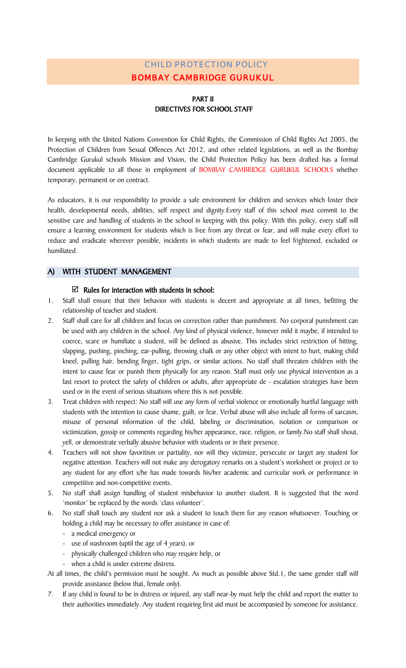# BOMBAY CAMBRIDGE GURUKUL CHILD PROTECTION POLICY

## PART II DIRECTIVES FOR SCHOOL STAFF

In keeping with the United Nations Convention for Child Rights, the Commission of Child Rights Act 2005, the Protection of Children from Sexual Offences Act 2012, and other related legislations, as well as the Bombay Cambridge Gurukul schools Mission and Vision, the Child Protection Policy has been drafted has a formal document applicable to all those in employment of BOMBAY CAMBRIDGE GURUKUL SCHOOLS whether temporary, permanent or on contract.

As educators, it is our responsibility to provide a safe environment for children and services which foster their health, developmental needs, abilities, self respect and dignity.Every staff of this school must commit to the sensitive care and handling of students in the school in keeping with this policy. With this policy, every staff will ensure a learning environment for students which is free from any threat or fear, and will make every effort to reduce and eradicate wherever possible, incidents in which students are made to feel frightened, excluded or humiliated.

### A) WITH STUDENT MANAGEMENT

### $\boxtimes$  Rules for interaction with students in school:

- 1. Staff shall ensure that their behavior with students is decent and appropriate at all times, befitting the relationship of teacher and student.
- 2. Staff shall care for all children and focus on correction rather than punishment. No corporal punishment can be used with any children in the school. Any kind of physical violence, however mild it maybe, if intended to coerce, scare or humiliate a student, will be defined as abusive. This includes strict restriction of hitting, slapping, pushing, pinching, ear-pulling, throwing chalk or any other object with intent to hurt, making child kneel, pulling hair, bending finger, tight grips, or similar actions. No staff shall threaten children with the intent to cause fear or punish them physically for any reason. Staff must only use physical intervention as a last resort to protect the safety of children or adults, after appropriate de - escalation strategies have been used or in the event of serious situations where this is not possible.
- 3. Treat children with respect: No staff will use any form of verbal violence or emotionally hurtful language with students with the intention to cause shame, guilt, or fear. Verbal abuse will also include all forms of sarcasm, misuse of personal information of the child, labeling or discrimination, isolation or comparison or victimization, gossip or comments regarding his/her appearance, race, religion, or family.No staff shall shout, yell, or demonstrate verbally abusive behavior with students or in their presence.
- 4. Teachers will not show favoritism or partiality, nor will they victimize, persecute or target any student for negative attention. Teachers will not make any derogatory remarks on a student's worksheet or project or to any student for any effort s/he has made towards his/her academic and curricular work or performance in competitive and non-competitive events.
- 5. No staff shall assign handling of student misbehavior to another student. It is suggested that the word 'monitor' be replaced by the words 'class volunteer'.
- 6. No staff shall touch any student nor ask a student to touch them for any reason whatsoever. Touching or holding a child may be necessary to offer assistance in case of:
	- a medical emergency or
	- use of washroom (uptil the age of 4 years), or
	- physically challenged children who may require help, or
	- when a child is under extreme distress.

At all times, the child's permission must be sought. As much as possible above Std.1, the same gender staff will provide assistance (below that, female only).

7. If any child is found to be in distress or injured, any staff near-by must help the child and report the matter to their authorities immediately. Any student requiring first aid must be accompanied by someone for assistance.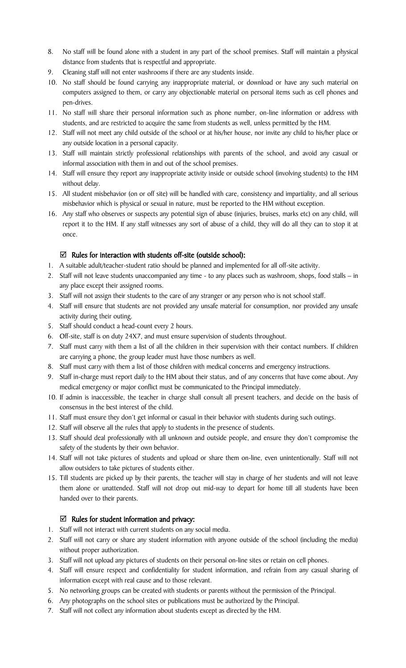- 8. No staff will be found alone with a student in any part of the school premises. Staff will maintain a physical distance from students that is respectful and appropriate.
- 9. Cleaning staff will not enter washrooms if there are any students inside.
- 10. No staff should be found carrying any inappropriate material, or download or have any such material on computers assigned to them, or carry any objectionable material on personal items such as cell phones and pen-drives.
- 11. No staff will share their personal information such as phone number, on-line information or address with students, and are restricted to acquire the same from students as well, unless permitted by the HM.
- 12. Staff will not meet any child outside of the school or at his/her house, nor invite any child to his/her place or any outside location in a personal capacity.
- 13. Staff will maintain strictly professional relationships with parents of the school, and avoid any casual or informal association with them in and out of the school premises.
- 14. Staff will ensure they report any inappropriate activity inside or outside school (involving students) to the HM without delay.
- 15. All student misbehavior (on or off site) will be handled with care, consistency and impartiality, and all serious misbehavior which is physical or sexual in nature, must be reported to the HM without exception.
- 16. Any staff who observes or suspects any potential sign of abuse (injuries, bruises, marks etc) on any child, will report it to the HM. If any staff witnesses any sort of abuse of a child, they will do all they can to stop it at once.

### $\boxtimes$  Rules for interaction with students off-site (outside school):

- 1. A suitable adult/teacher-student ratio should be planned and implemented for all off-site activity.
- 2. Staff will not leave students unaccompanied any time to any places such as washroom, shops, food stalls in any place except their assigned rooms.
- 3. Staff will not assign their students to the care of any stranger or any person who is not school staff.
- 4. Staff will ensure that students are not provided any unsafe material for consumption, nor provided any unsafe activity during their outing.
- 5. Staff should conduct a head-count every 2 hours.
- 6. Off-site, staff is on duty 24X7, and must ensure supervision of students throughout.
- 7. Staff must carry with them a list of all the children in their supervision with their contact numbers. If children are carrying a phone, the group leader must have those numbers as well.
- 8. Staff must carry with them a list of those children with medical concerns and emergency instructions.
- 9. Staff in-charge must report daily to the HM about their status, and of any concerns that have come about. Any medical emergency or major conflict must be communicated to the Principal immediately.
- 10. If admin is inaccessible, the teacher in charge shall consult all present teachers, and decide on the basis of consensus in the best interest of the child.
- 11. Staff must ensure they don't get informal or casual in their behavior with students during such outings.
- 12. Staff will observe all the rules that apply to students in the presence of students.
- 13. Staff should deal professionally with all unknown and outside people, and ensure they don't compromise the safety of the students by their own behavior.
- 14. Staff will not take pictures of students and upload or share them on-line, even unintentionally. Staff will not allow outsiders to take pictures of students either.
- 15. Till students are picked up by their parents, the teacher will stay in charge of her students and will not leave them alone or unattended. Staff will not drop out mid-way to depart for home till all students have been handed over to their parents.

# $\boxtimes$  Rules for student information and privacy:

- 1. Staff will not interact with current students on any social media.
- 2. Staff will not carry or share any student information with anyone outside of the school (including the media) without proper authorization.
- 3. Staff will not upload any pictures of students on their personal on-line sites or retain on cell phones.
- 4. Staff will ensure respect and confidentiality for student information, and refrain from any casual sharing of information except with real cause and to those relevant.
- 5. No networking groups can be created with students or parents without the permission of the Principal.
- 6. Any photographs on the school sites or publications must be authorized by the Principal.
- 7. Staff will not collect any information about students except as directed by the HM.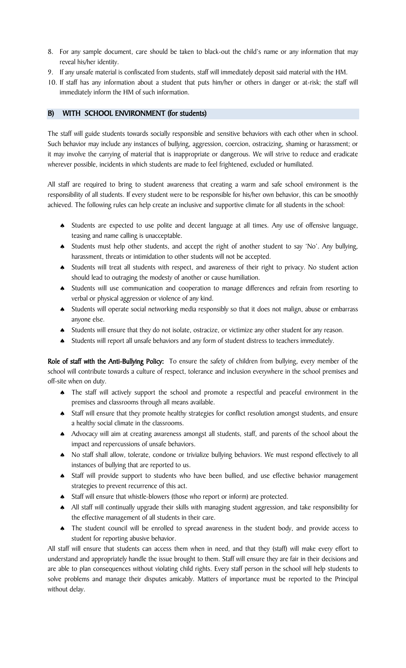- 8. For any sample document, care should be taken to black-out the child's name or any information that may reveal his/her identity.
- 9. If any unsafe material is confiscated from students, staff will immediately deposit said material with the HM.
- 10. If staff has any information about a student that puts him/her or others in danger or at-risk; the staff will immediately inform the HM of such information.

### B) WITH SCHOOL ENVIRONMENT (for students)

The staff will guide students towards socially responsible and sensitive behaviors with each other when in school. Such behavior may include any instances of bullying, aggression, coercion, ostracizing, shaming or harassment; or it may involve the carrying of material that is inappropriate or dangerous. We will strive to reduce and eradicate wherever possible, incidents in which students are made to feel frightened, excluded or humiliated.

All staff are required to bring to student awareness that creating a warm and safe school environment is the responsibility of all students. If every student were to be responsible for his/her own behavior, this can be smoothly achieved. The following rules can help create an inclusive and supportive climate for all students in the school:

- ♠ Students are expected to use polite and decent language at all times. Any use of offensive language, teasing and name calling is unacceptable.
- ♠ Students must help other students, and accept the right of another student to say 'No'. Any bullying, harassment, threats or intimidation to other students will not be accepted.
- ♠ Students will treat all students with respect, and awareness of their right to privacy. No student action should lead to outraging the modesty of another or cause humiliation.
- ♠ Students will use communication and cooperation to manage differences and refrain from resorting to verbal or physical aggression or violence of any kind.
- ♠ Students will operate social networking media responsibly so that it does not malign, abuse or embarrass anyone else.
- ♠ Students will ensure that they do not isolate, ostracize, or victimize any other student for any reason.
- ♠ Students will report all unsafe behaviors and any form of student distress to teachers immediately.

Role of staff with the Anti-Bullying Policy: To ensure the safety of children from bullying, every member of the school will contribute towards a culture of respect, tolerance and inclusion everywhere in the school premises and off-site when on duty.

- ♠ The staff will actively support the school and promote a respectful and peaceful environment in the premises and classrooms through all means available.
- ♠ Staff will ensure that they promote healthy strategies for conflict resolution amongst students, and ensure a healthy social climate in the classrooms.
- ♠ Advocacy will aim at creating awareness amongst all students, staff, and parents of the school about the impact and repercussions of unsafe behaviors.
- ♠ No staff shall allow, tolerate, condone or trivialize bullying behaviors. We must respond effectively to all instances of bullying that are reported to us.
- ♠ Staff will provide support to students who have been bullied, and use effective behavior management strategies to prevent recurrence of this act.
- ♠ Staff will ensure that whistle-blowers (those who report or inform) are protected.
- ♠ All staff will continually upgrade their skills with managing student aggression, and take responsibility for the effective management of all students in their care.
- ♠ The student council will be enrolled to spread awareness in the student body, and provide access to student for reporting abusive behavior.

All staff will ensure that students can access them when in need, and that they (staff) will make every effort to understand and appropriately handle the issue brought to them. Staff will ensure they are fair in their decisions and are able to plan consequences without violating child rights. Every staff person in the school will help students to solve problems and manage their disputes amicably. Matters of importance must be reported to the Principal without delay.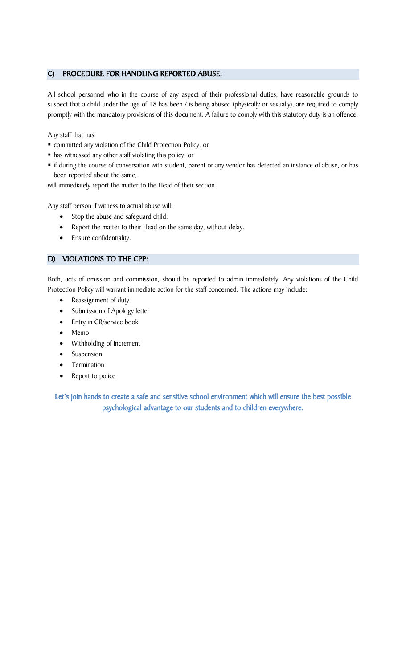### C) PROCEDURE FOR HANDLING REPORTED ABUSE:

All school personnel who in the course of any aspect of their professional duties, have reasonable grounds to suspect that a child under the age of 18 has been / is being abused (physically or sexually), are required to comply promptly with the mandatory provisions of this document. A failure to comply with this statutory duty is an offence.

Any staff that has:

- committed any violation of the Child Protection Policy, or
- has witnessed any other staff violating this policy, or
- if during the course of conversation with student, parent or any vendor has detected an instance of abuse, or has been reported about the same,

will immediately report the matter to the Head of their section.

Any staff person if witness to actual abuse will:

- Stop the abuse and safeguard child.
- Report the matter to their Head on the same day, without delay.
- Ensure confidentiality.

# D) VIOLATIONS TO THE CPP:

Both, acts of omission and commission, should be reported to admin immediately. Any violations of the Child Protection Policy will warrant immediate action for the staff concerned. The actions may include:

- Reassignment of duty
- Submission of Apology letter
- Entry in CR/service book
- Memo
- Withholding of increment
- **Suspension**
- **Termination**
- Report to police

Let's join hands to create a safe and sensitive school environment which will ensure the best possible psychological advantage to our students and to children everywhere.